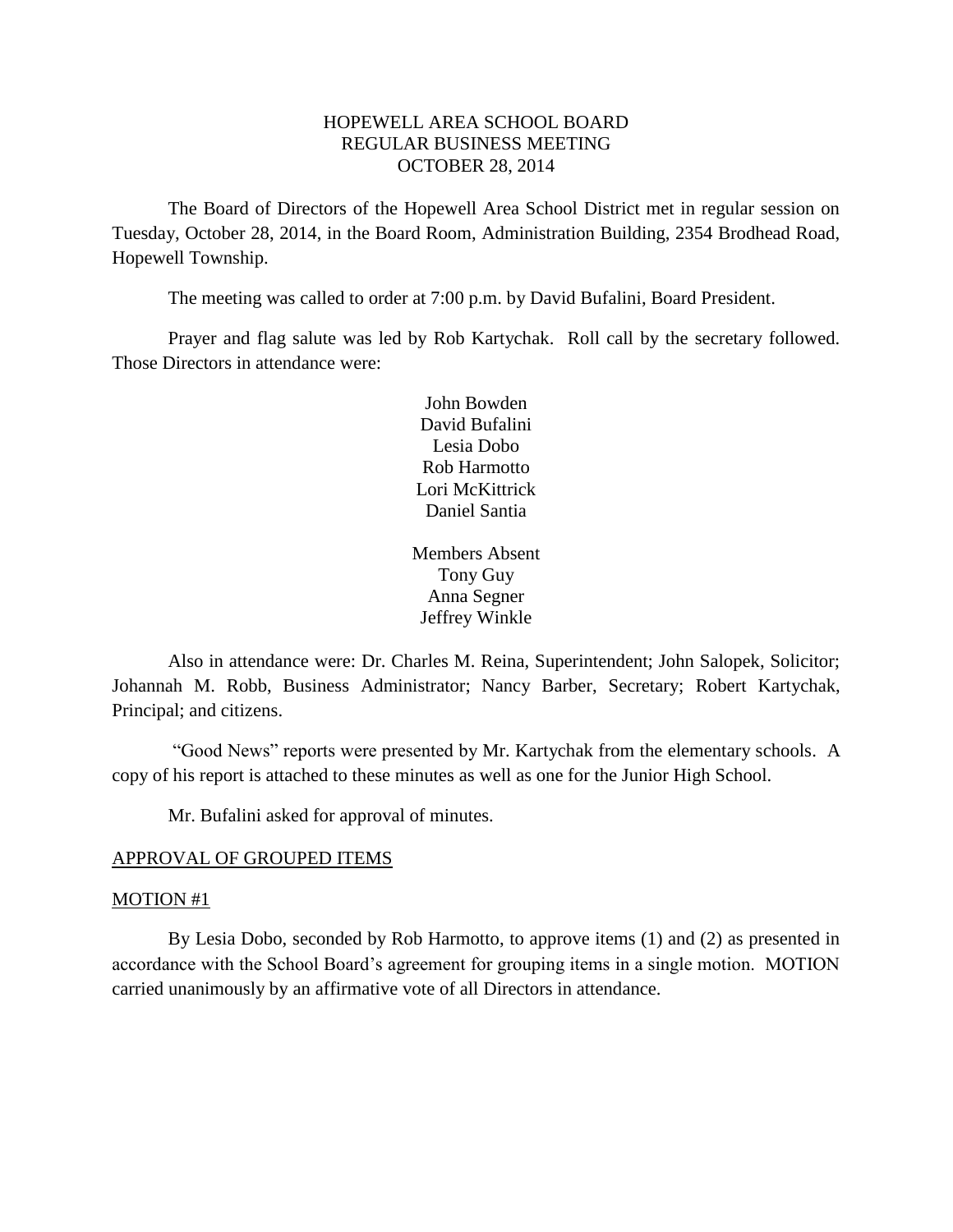# HOPEWELL AREA SCHOOL BOARD REGULAR BUSINESS MEETING OCTOBER 28, 2014

The Board of Directors of the Hopewell Area School District met in regular session on Tuesday, October 28, 2014, in the Board Room, Administration Building, 2354 Brodhead Road, Hopewell Township.

The meeting was called to order at 7:00 p.m. by David Bufalini, Board President.

Prayer and flag salute was led by Rob Kartychak. Roll call by the secretary followed. Those Directors in attendance were:

> John Bowden David Bufalini Lesia Dobo Rob Harmotto Lori McKittrick Daniel Santia

Members Absent Tony Guy Anna Segner Jeffrey Winkle

Also in attendance were: Dr. Charles M. Reina, Superintendent; John Salopek, Solicitor; Johannah M. Robb, Business Administrator; Nancy Barber, Secretary; Robert Kartychak, Principal; and citizens.

"Good News" reports were presented by Mr. Kartychak from the elementary schools. A copy of his report is attached to these minutes as well as one for the Junior High School.

Mr. Bufalini asked for approval of minutes.

### APPROVAL OF GROUPED ITEMS

### MOTION #1

By Lesia Dobo, seconded by Rob Harmotto, to approve items (1) and (2) as presented in accordance with the School Board's agreement for grouping items in a single motion. MOTION carried unanimously by an affirmative vote of all Directors in attendance.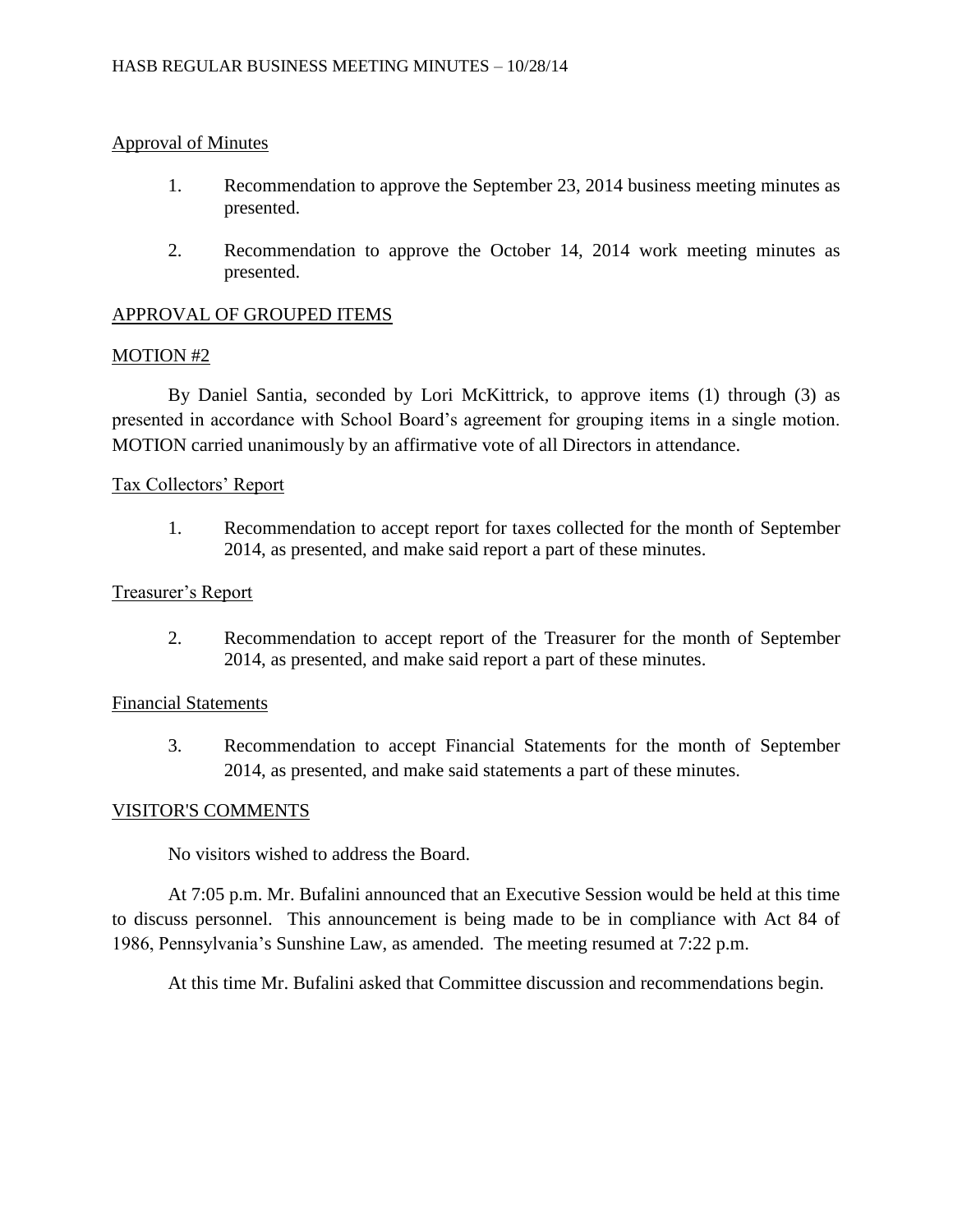# Approval of Minutes

- 1. Recommendation to approve the September 23, 2014 business meeting minutes as presented.
- 2. Recommendation to approve the October 14, 2014 work meeting minutes as presented.

# APPROVAL OF GROUPED ITEMS

## MOTION #2

By Daniel Santia, seconded by Lori McKittrick, to approve items (1) through (3) as presented in accordance with School Board's agreement for grouping items in a single motion. MOTION carried unanimously by an affirmative vote of all Directors in attendance.

## Tax Collectors' Report

1. Recommendation to accept report for taxes collected for the month of September 2014, as presented, and make said report a part of these minutes.

## Treasurer's Report

2. Recommendation to accept report of the Treasurer for the month of September 2014, as presented, and make said report a part of these minutes.

## Financial Statements

3. Recommendation to accept Financial Statements for the month of September 2014, as presented, and make said statements a part of these minutes.

### VISITOR'S COMMENTS

No visitors wished to address the Board.

At 7:05 p.m. Mr. Bufalini announced that an Executive Session would be held at this time to discuss personnel. This announcement is being made to be in compliance with Act 84 of 1986, Pennsylvania's Sunshine Law, as amended. The meeting resumed at 7:22 p.m.

At this time Mr. Bufalini asked that Committee discussion and recommendations begin.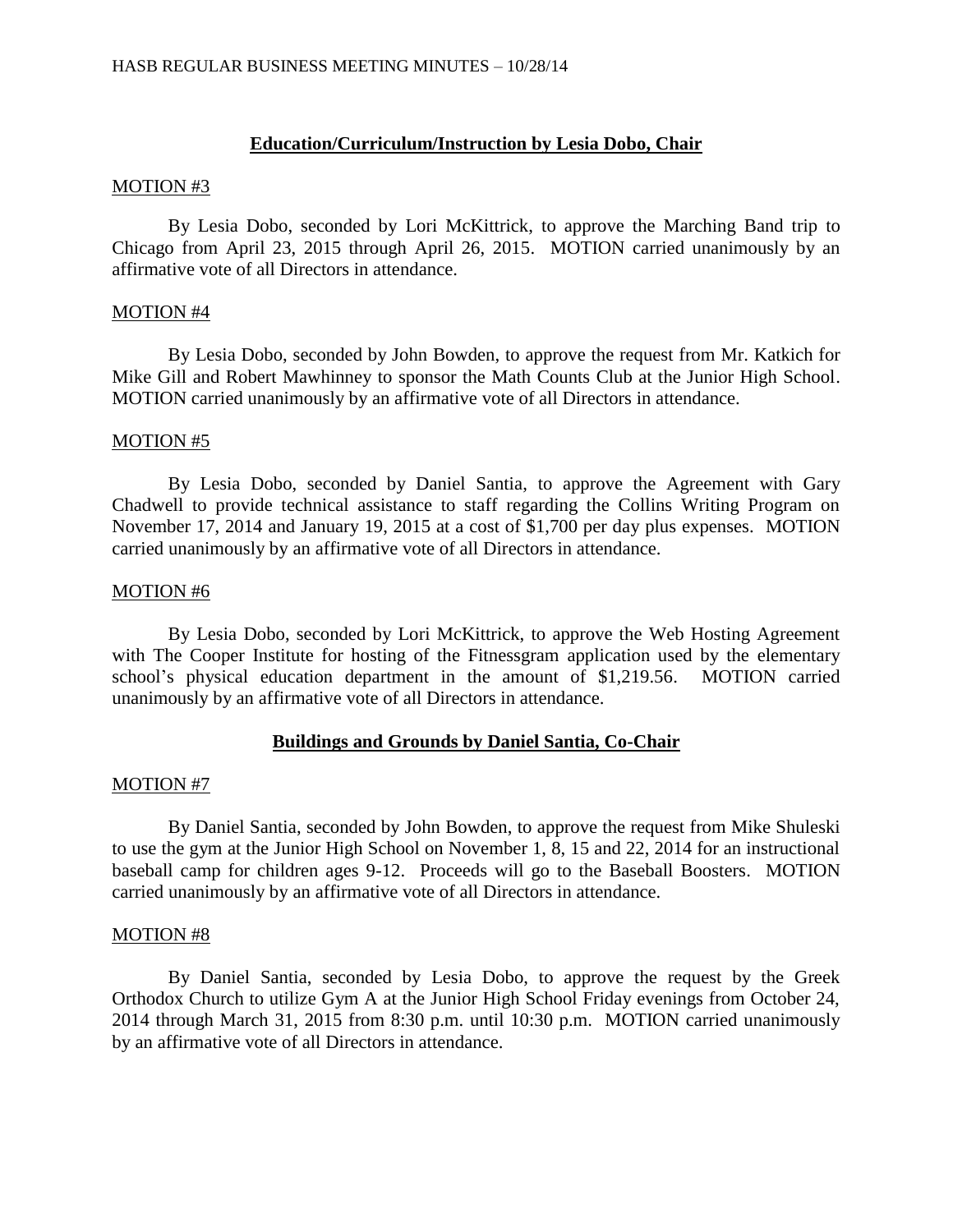## **Education/Curriculum/Instruction by Lesia Dobo, Chair**

#### MOTION #3

By Lesia Dobo, seconded by Lori McKittrick, to approve the Marching Band trip to Chicago from April 23, 2015 through April 26, 2015. MOTION carried unanimously by an affirmative vote of all Directors in attendance.

### MOTION #4

By Lesia Dobo, seconded by John Bowden, to approve the request from Mr. Katkich for Mike Gill and Robert Mawhinney to sponsor the Math Counts Club at the Junior High School. MOTION carried unanimously by an affirmative vote of all Directors in attendance.

### MOTION #5

By Lesia Dobo, seconded by Daniel Santia, to approve the Agreement with Gary Chadwell to provide technical assistance to staff regarding the Collins Writing Program on November 17, 2014 and January 19, 2015 at a cost of \$1,700 per day plus expenses. MOTION carried unanimously by an affirmative vote of all Directors in attendance.

#### MOTION #6

By Lesia Dobo, seconded by Lori McKittrick, to approve the Web Hosting Agreement with The Cooper Institute for hosting of the Fitnessgram application used by the elementary school's physical education department in the amount of \$1,219.56. MOTION carried unanimously by an affirmative vote of all Directors in attendance.

### **Buildings and Grounds by Daniel Santia, Co-Chair**

### MOTION #7

By Daniel Santia, seconded by John Bowden, to approve the request from Mike Shuleski to use the gym at the Junior High School on November 1, 8, 15 and 22, 2014 for an instructional baseball camp for children ages 9-12. Proceeds will go to the Baseball Boosters. MOTION carried unanimously by an affirmative vote of all Directors in attendance.

#### MOTION #8

By Daniel Santia, seconded by Lesia Dobo, to approve the request by the Greek Orthodox Church to utilize Gym A at the Junior High School Friday evenings from October 24, 2014 through March 31, 2015 from 8:30 p.m. until 10:30 p.m. MOTION carried unanimously by an affirmative vote of all Directors in attendance.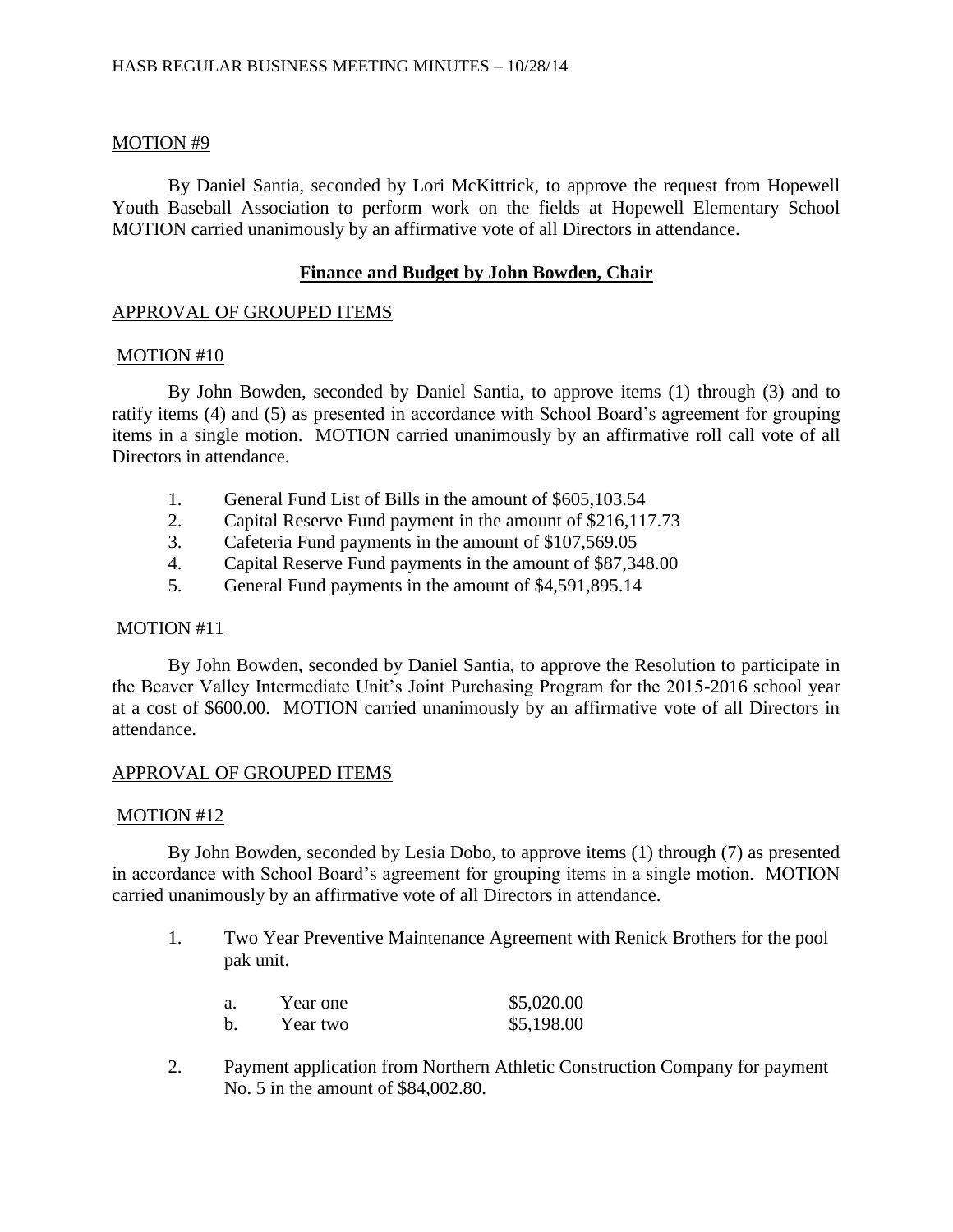# MOTION #9

By Daniel Santia, seconded by Lori McKittrick, to approve the request from Hopewell Youth Baseball Association to perform work on the fields at Hopewell Elementary School MOTION carried unanimously by an affirmative vote of all Directors in attendance.

# **Finance and Budget by John Bowden, Chair**

## APPROVAL OF GROUPED ITEMS

## MOTION #10

By John Bowden, seconded by Daniel Santia, to approve items (1) through (3) and to ratify items (4) and (5) as presented in accordance with School Board's agreement for grouping items in a single motion. MOTION carried unanimously by an affirmative roll call vote of all Directors in attendance.

- 1. General Fund List of Bills in the amount of \$605,103.54
- 2. Capital Reserve Fund payment in the amount of \$216,117.73
- 3. Cafeteria Fund payments in the amount of \$107,569.05
- 4. Capital Reserve Fund payments in the amount of \$87,348.00
- 5. General Fund payments in the amount of \$4,591,895.14

# MOTION #11

By John Bowden, seconded by Daniel Santia, to approve the Resolution to participate in the Beaver Valley Intermediate Unit's Joint Purchasing Program for the 2015-2016 school year at a cost of \$600.00. MOTION carried unanimously by an affirmative vote of all Directors in attendance.

# APPROVAL OF GROUPED ITEMS

# MOTION #12

By John Bowden, seconded by Lesia Dobo, to approve items (1) through (7) as presented in accordance with School Board's agreement for grouping items in a single motion. MOTION carried unanimously by an affirmative vote of all Directors in attendance.

1. Two Year Preventive Maintenance Agreement with Renick Brothers for the pool pak unit.

| a. | Year one | \$5,020.00 |
|----|----------|------------|
| b. | Year two | \$5,198.00 |

2. Payment application from Northern Athletic Construction Company for payment No. 5 in the amount of \$84,002.80.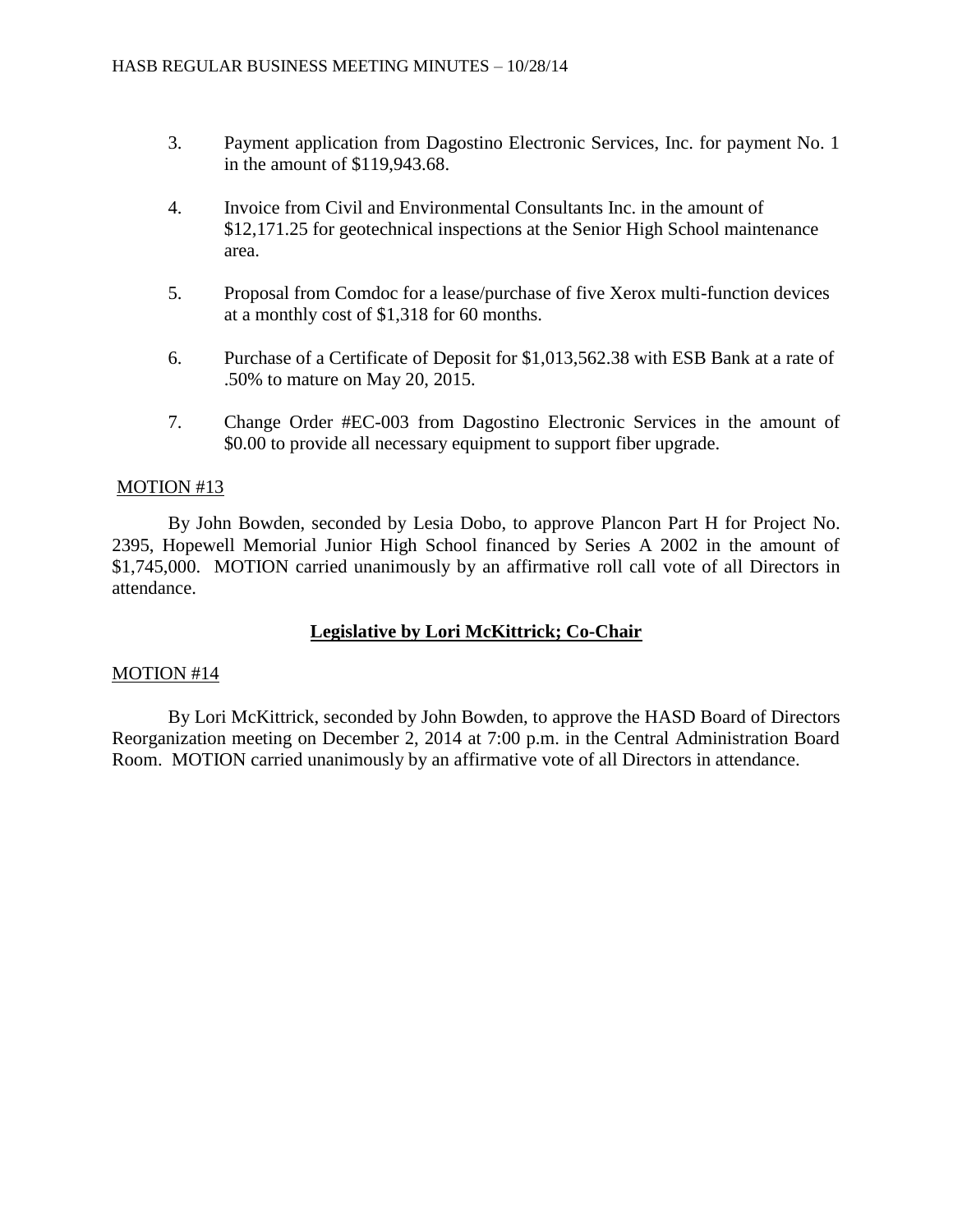- 3. Payment application from Dagostino Electronic Services, Inc. for payment No. 1 in the amount of \$119,943.68.
- 4. Invoice from Civil and Environmental Consultants Inc. in the amount of \$12,171.25 for geotechnical inspections at the Senior High School maintenance area.
- 5. Proposal from Comdoc for a lease/purchase of five Xerox multi-function devices at a monthly cost of \$1,318 for 60 months.
- 6. Purchase of a Certificate of Deposit for \$1,013,562.38 with ESB Bank at a rate of .50% to mature on May 20, 2015.
- 7. Change Order #EC-003 from Dagostino Electronic Services in the amount of \$0.00 to provide all necessary equipment to support fiber upgrade.

# MOTION #13

By John Bowden, seconded by Lesia Dobo, to approve Plancon Part H for Project No. 2395, Hopewell Memorial Junior High School financed by Series A 2002 in the amount of \$1,745,000. MOTION carried unanimously by an affirmative roll call vote of all Directors in attendance.

# **Legislative by Lori McKittrick; Co-Chair**

### MOTION #14

By Lori McKittrick, seconded by John Bowden, to approve the HASD Board of Directors Reorganization meeting on December 2, 2014 at 7:00 p.m. in the Central Administration Board Room. MOTION carried unanimously by an affirmative vote of all Directors in attendance.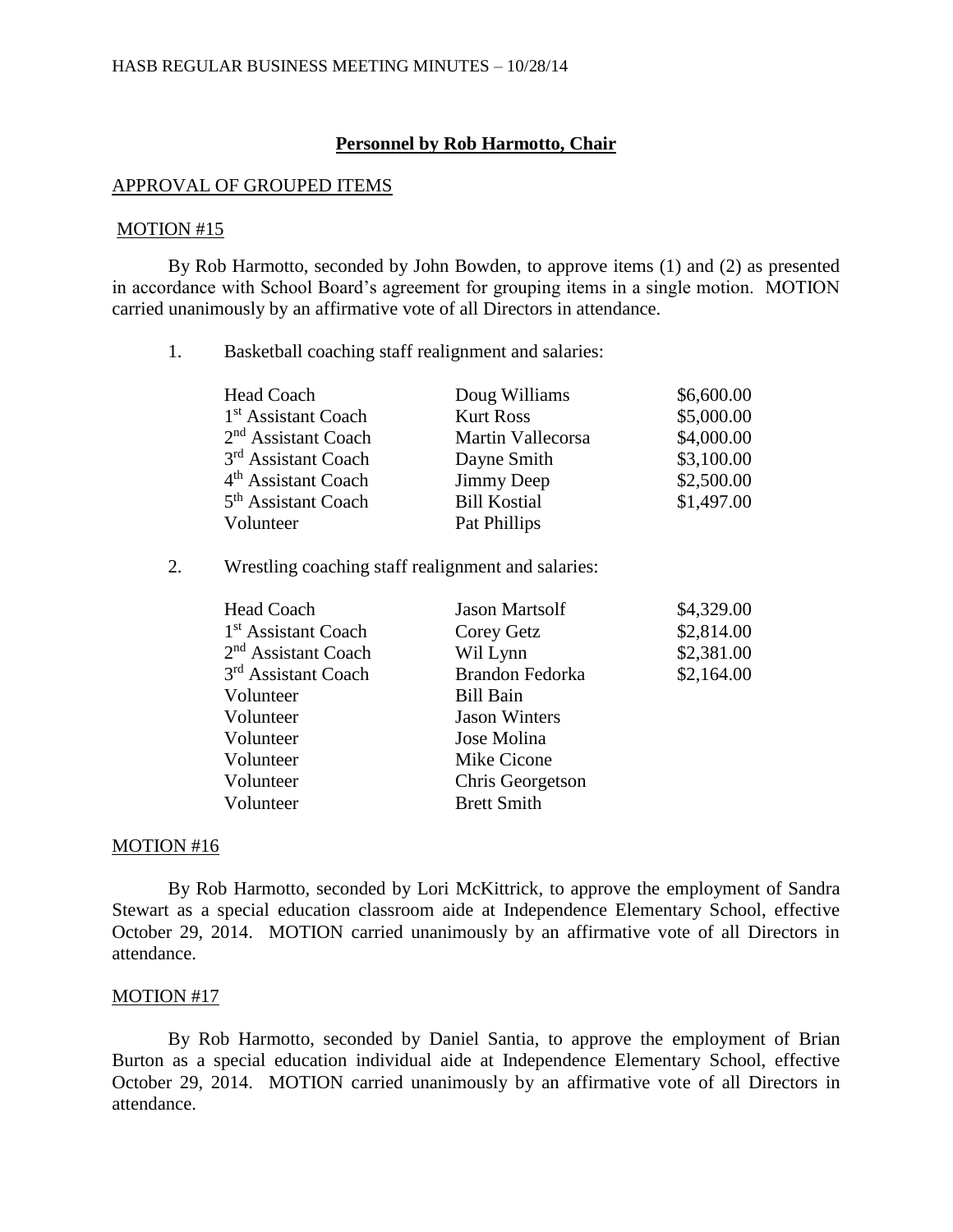#### **Personnel by Rob Harmotto, Chair**

#### APPROVAL OF GROUPED ITEMS

#### MOTION #15

By Rob Harmotto, seconded by John Bowden, to approve items (1) and (2) as presented in accordance with School Board's agreement for grouping items in a single motion. MOTION carried unanimously by an affirmative vote of all Directors in attendance.

1. Basketball coaching staff realignment and salaries:

| Head Coach                      | Doug Williams       | \$6,600.00 |
|---------------------------------|---------------------|------------|
| 1 <sup>st</sup> Assistant Coach | <b>Kurt Ross</b>    | \$5,000.00 |
| $2nd$ Assistant Coach           | Martin Vallecorsa   | \$4,000.00 |
| 3 <sup>rd</sup> Assistant Coach | Dayne Smith         | \$3,100.00 |
| 4 <sup>th</sup> Assistant Coach | Jimmy Deep          | \$2,500.00 |
| 5 <sup>th</sup> Assistant Coach | <b>Bill Kostial</b> | \$1,497.00 |
| Volunteer                       | Pat Phillips        |            |

2. Wrestling coaching staff realignment and salaries:

| <b>Jason Martsolf</b> | \$4,329.00 |
|-----------------------|------------|
| Corey Getz            | \$2,814.00 |
| Wil Lynn              | \$2,381.00 |
| Brandon Fedorka       | \$2,164.00 |
| <b>Bill Bain</b>      |            |
| <b>Jason Winters</b>  |            |
| Jose Molina           |            |
| Mike Cicone           |            |
| Chris Georgetson      |            |
| <b>Brett Smith</b>    |            |
|                       |            |

#### MOTION #16

By Rob Harmotto, seconded by Lori McKittrick, to approve the employment of Sandra Stewart as a special education classroom aide at Independence Elementary School, effective October 29, 2014. MOTION carried unanimously by an affirmative vote of all Directors in attendance.

#### MOTION #17

By Rob Harmotto, seconded by Daniel Santia, to approve the employment of Brian Burton as a special education individual aide at Independence Elementary School, effective October 29, 2014. MOTION carried unanimously by an affirmative vote of all Directors in attendance.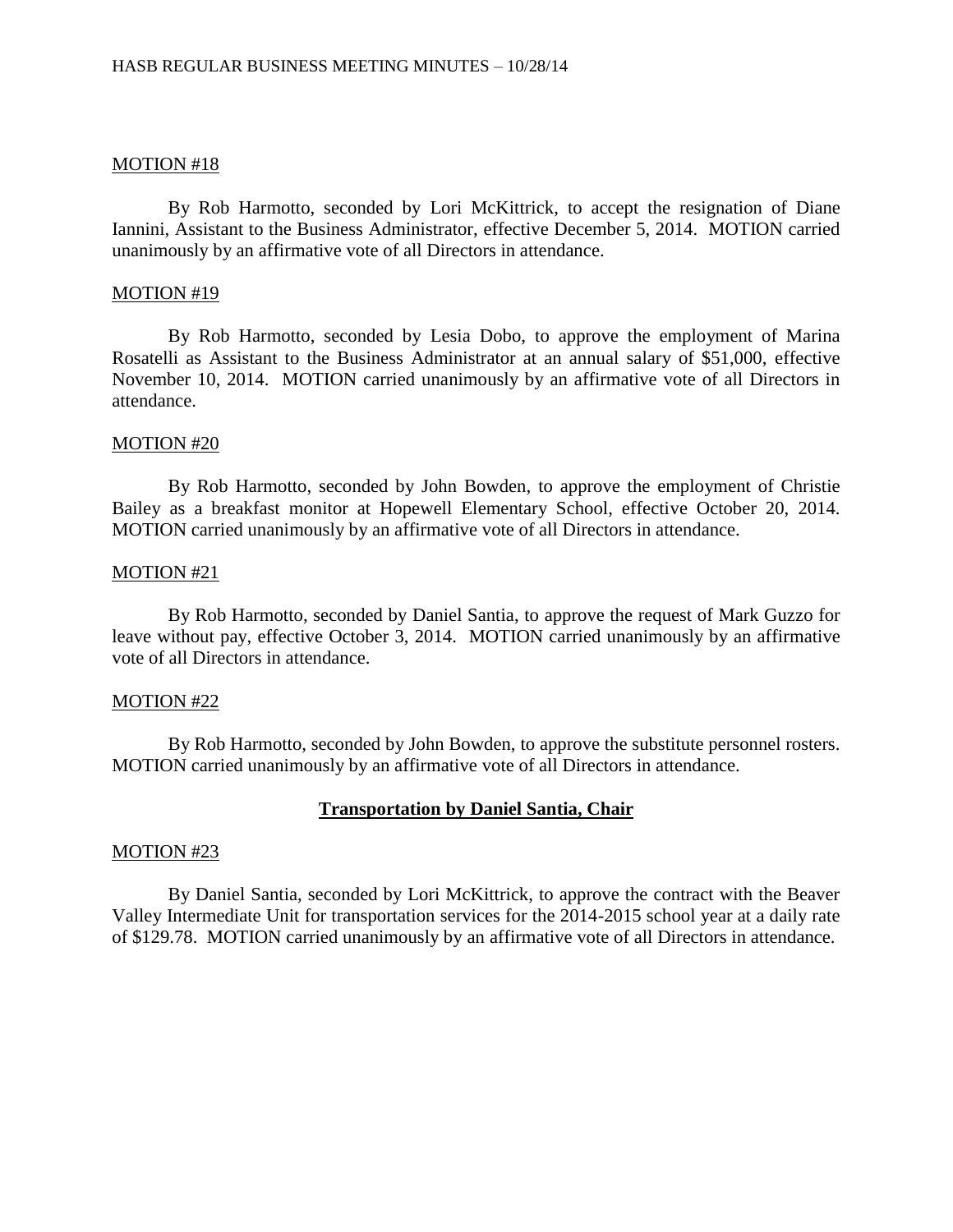#### MOTION #18

By Rob Harmotto, seconded by Lori McKittrick, to accept the resignation of Diane Iannini, Assistant to the Business Administrator, effective December 5, 2014. MOTION carried unanimously by an affirmative vote of all Directors in attendance.

#### MOTION #19

By Rob Harmotto, seconded by Lesia Dobo, to approve the employment of Marina Rosatelli as Assistant to the Business Administrator at an annual salary of \$51,000, effective November 10, 2014. MOTION carried unanimously by an affirmative vote of all Directors in attendance.

#### MOTION #20

By Rob Harmotto, seconded by John Bowden, to approve the employment of Christie Bailey as a breakfast monitor at Hopewell Elementary School, effective October 20, 2014. MOTION carried unanimously by an affirmative vote of all Directors in attendance.

#### MOTION #21

By Rob Harmotto, seconded by Daniel Santia, to approve the request of Mark Guzzo for leave without pay, effective October 3, 2014. MOTION carried unanimously by an affirmative vote of all Directors in attendance.

### MOTION #22

By Rob Harmotto, seconded by John Bowden, to approve the substitute personnel rosters. MOTION carried unanimously by an affirmative vote of all Directors in attendance.

### **Transportation by Daniel Santia, Chair**

### MOTION #23

By Daniel Santia, seconded by Lori McKittrick, to approve the contract with the Beaver Valley Intermediate Unit for transportation services for the 2014-2015 school year at a daily rate of \$129.78. MOTION carried unanimously by an affirmative vote of all Directors in attendance.